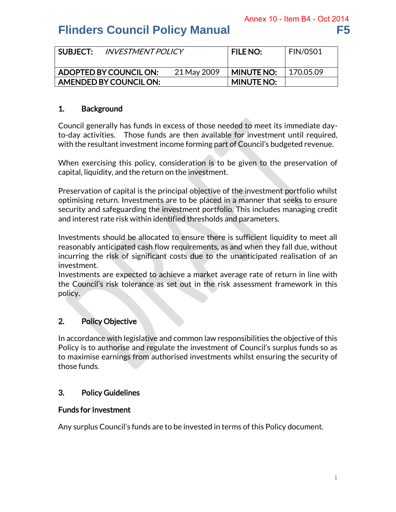| SUBJECT: | <b>INVESTMENT POLICY</b> |             | <b>FILE NO:</b>   | <b>FIN/0501</b> |
|----------|--------------------------|-------------|-------------------|-----------------|
|          | ADOPTED BY COUNCIL ON:   | 21 May 2009 | <b>MINUTE NO:</b> | 170.05.09       |
|          | AMENDED BY COUNCIL ON:   |             | <b>MINUTE NO:</b> |                 |

### 1. Background

Council generally has funds in excess of those needed to meet its immediate dayto-day activities. Those funds are then available for investment until required, with the resultant investment income forming part of Council's budgeted revenue.

When exercising this policy, consideration is to be given to the preservation of capital, liquidity, and the return on the investment.

Preservation of capital is the principal objective of the investment portfolio whilst optimising return. Investments are to be placed in a manner that seeks to ensure security and safeguarding the investment portfolio. This includes managing credit and interest rate risk within identified thresholds and parameters.

Investments should be allocated to ensure there is sufficient liquidity to meet all reasonably anticipated cash flow requirements, as and when they fall due, without incurring the risk of significant costs due to the unanticipated realisation of an investment.

Investments are expected to achieve a market average rate of return in line with the Council's risk tolerance as set out in the risk assessment framework in this policy.

### 2. Policy Objective

In accordance with legislative and common law responsibilities the objective of this Policy is to authorise and regulate the investment of Council's surplus funds so as to maximise earnings from authorised investments whilst ensuring the security of those funds.

### 3. Policy Guidelines

### Funds for Investment

Any surplus Council's funds are to be invested in terms of this Policy document.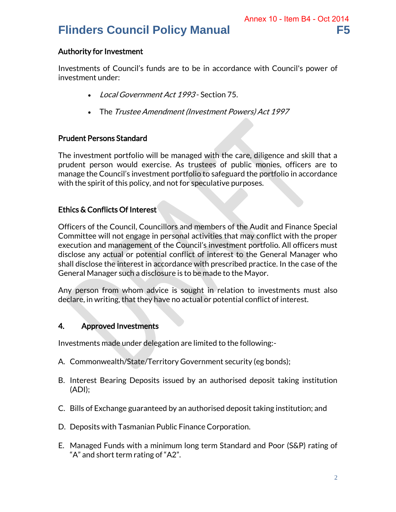### Authority for Investment

Investments of Council's funds are to be in accordance with Council's power of investment under:

- Local Government Act 1993 Section 75.
- The Trustee Amendment (Investment Powers) Act 1997

### Prudent Persons Standard

The investment portfolio will be managed with the care, diligence and skill that a prudent person would exercise. As trustees of public monies, officers are to manage the Council's investment portfolio to safeguard the portfolio in accordance with the spirit of this policy, and not for speculative purposes.

### Ethics & Conflicts Of Interest

Officers of the Council, Councillors and members of the Audit and Finance Special Committee will not engage in personal activities that may conflict with the proper execution and management of the Council's investment portfolio. All officers must disclose any actual or potential conflict of interest to the General Manager who shall disclose the interest in accordance with prescribed practice. In the case of the General Manager such a disclosure is to be made to the Mayor.

Any person from whom advice is sought in relation to investments must also declare, in writing, that they have no actual or potential conflict of interest.

### 4. Approved Investments

Investments made under delegation are limited to the following:-

- A. Commonwealth/State/Territory Government security (eg bonds);
- B. Interest Bearing Deposits issued by an authorised deposit taking institution (ADI);
- C. Bills of Exchange guaranteed by an authorised deposit taking institution; and
- D. Deposits with Tasmanian Public Finance Corporation.
- E. Managed Funds with a minimum long term Standard and Poor (S&P) rating of "A" and short term rating of "A2".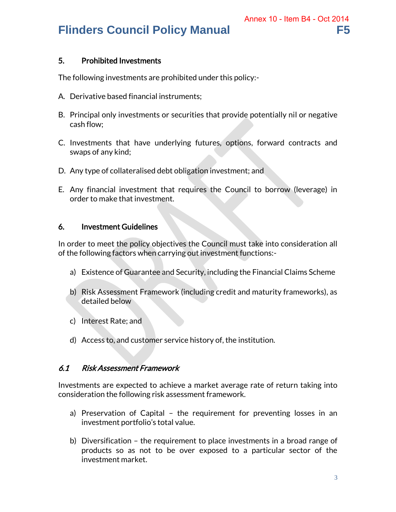### 5. Prohibited Investments

The following investments are prohibited under this policy:-

- A. Derivative based financial instruments;
- B. Principal only investments or securities that provide potentially nil or negative cash flow;
- C. Investments that have underlying futures, options, forward contracts and swaps of any kind;
- D. Any type of collateralised debt obligation investment; and
- E. Any financial investment that requires the Council to borrow (leverage) in order to make that investment.

### 6. Investment Guidelines

In order to meet the policy objectives the Council must take into consideration all of the following factors when carrying out investment functions:-

- a) Existence of Guarantee and Security, including the Financial Claims Scheme
- b) Risk Assessment Framework (including credit and maturity frameworks), as detailed below
- c) Interest Rate; and
- d) Access to, and customer service history of, the institution.

### 6.1 Risk Assessment Framework

Investments are expected to achieve a market average rate of return taking into consideration the following risk assessment framework.

- a) Preservation of Capital the requirement for preventing losses in an investment portfolio's total value.
- b) Diversification the requirement to place investments in a broad range of products so as not to be over exposed to a particular sector of the investment market.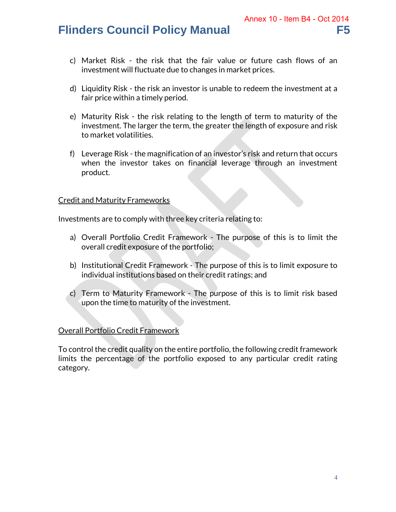- c) Market Risk the risk that the fair value or future cash flows of an investment will fluctuate due to changes in market prices.
- d) Liquidity Risk the risk an investor is unable to redeem the investment at a fair price within a timely period.
- e) Maturity Risk the risk relating to the length of term to maturity of the investment. The larger the term, the greater the length of exposure and risk to market volatilities.
- f) Leverage Risk the magnification of an investor's risk and return that occurs when the investor takes on financial leverage through an investment product.

### Credit and Maturity Frameworks

Investments are to comply with three key criteria relating to:

- a) Overall Portfolio Credit Framework The purpose of this is to limit the overall credit exposure of the portfolio;
- b) Institutional Credit Framework The purpose of this is to limit exposure to individual institutions based on their credit ratings; and
- c) Term to Maturity Framework The purpose of this is to limit risk based upon the time to maturity of the investment.

### Overall Portfolio Credit Framework

To control the credit quality on the entire portfolio, the following credit framework limits the percentage of the portfolio exposed to any particular credit rating category.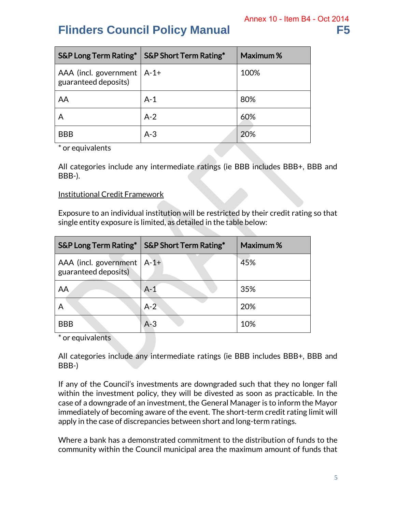|                                                      | S&P Long Term Rating*   S&P Short Term Rating* | Maximum% |
|------------------------------------------------------|------------------------------------------------|----------|
| AAA (incl. government   A-1+<br>guaranteed deposits) |                                                | 100%     |
| AA                                                   | $A-1$                                          | 80%      |
|                                                      | $A-2$                                          | 60%      |
| <b>BBB</b>                                           | $A-3$                                          | 20%      |

\* or equivalents

All categories include any intermediate ratings (ie BBB includes BBB+, BBB and BBB-).

### Institutional Credit Framework

Exposure to an individual institution will be restricted by their credit rating so that single entity exposure is limited, as detailed in the table below:

|                                                      | S&P Long Term Rating*   S&P Short Term Rating* | Maximum% |
|------------------------------------------------------|------------------------------------------------|----------|
| AAA (incl. government   A-1+<br>guaranteed deposits) |                                                | 45%      |
| AA                                                   | $A-1$                                          | 35%      |
| A                                                    | $A-2$                                          | 20%      |
| <b>BBB</b>                                           | $A-3$                                          | 10%      |

\* or equivalents

All categories include any intermediate ratings (ie BBB includes BBB+, BBB and BBB-)

If any of the Council's investments are downgraded such that they no longer fall within the investment policy, they will be divested as soon as practicable. In the case of a downgrade of an investment, the General Manager is to inform the Mayor immediately of becoming aware of the event. The short-term credit rating limit will apply in the case of discrepancies between short and long-term ratings.

Where a bank has a demonstrated commitment to the distribution of funds to the community within the Council municipal area the maximum amount of funds that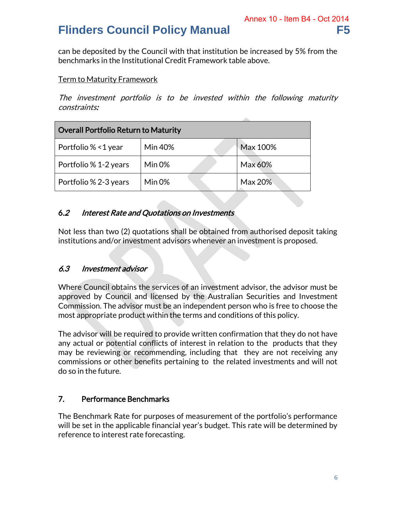can be deposited by the Council with that institution be increased by 5% from the benchmarks in the Institutional Credit Framework table above.

### Term to Maturity Framework

The investment portfolio is to be invested within the following maturity constraints:

| Overall Portfolio Return to Maturity |                |          |  |  |
|--------------------------------------|----------------|----------|--|--|
| Portfolio % < 1 year                 | <b>Min 40%</b> | Max 100% |  |  |
| Portfolio % 1-2 years                | Min 0%         | Max 60%  |  |  |
| Portfolio % 2-3 years                | Min $0\%$      | Max 20%  |  |  |

### 6.2 Interest Rate and Quotations on Investments

Not less than two (2) quotations shall be obtained from authorised deposit taking institutions and/or investment advisors whenever an investment is proposed.

### 6.3 Investment advisor

Where Council obtains the services of an investment advisor, the advisor must be approved by Council and licensed by the Australian Securities and Investment Commission. The advisor must be an independent person who is free to choose the most appropriate product within the terms and conditions of this policy.

The advisor will be required to provide written confirmation that they do not have any actual or potential conflicts of interest in relation to the products that they may be reviewing or recommending, including that they are not receiving any commissions or other benefits pertaining to the related investments and will not do so in the future.

### 7. Performance Benchmarks

The Benchmark Rate for purposes of measurement of the portfolio's performance will be set in the applicable financial year's budget. This rate will be determined by reference to interest rate forecasting.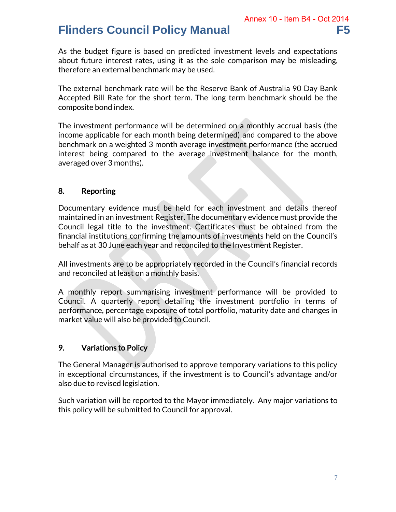As the budget figure is based on predicted investment levels and expectations about future interest rates, using it as the sole comparison may be misleading, therefore an external benchmark may be used.

The external benchmark rate will be the Reserve Bank of Australia 90 Day Bank Accepted Bill Rate for the short term. The long term benchmark should be the composite bond index.

The investment performance will be determined on a monthly accrual basis (the income applicable for each month being determined) and compared to the above benchmark on a weighted 3 month average investment performance (the accrued interest being compared to the average investment balance for the month, averaged over 3 months).

### 8. Reporting

Documentary evidence must be held for each investment and details thereof maintained in an investment Register. The documentary evidence must provide the Council legal title to the investment. Certificates must be obtained from the financial institutions confirming the amounts of investments held on the Council's behalf as at 30 June each year and reconciled to the Investment Register.

All investments are to be appropriately recorded in the Council's financial records and reconciled at least on a monthly basis.

A monthly report summarising investment performance will be provided to Council. A quarterly report detailing the investment portfolio in terms of performance, percentage exposure of total portfolio, maturity date and changes in market value will also be provided to Council.

### 9. Variations to Policy

The General Manager is authorised to approve temporary variations to this policy in exceptional circumstances, if the investment is to Council's advantage and/or also due to revised legislation.

Such variation will be reported to the Mayor immediately. Any major variations to this policy will be submitted to Council for approval.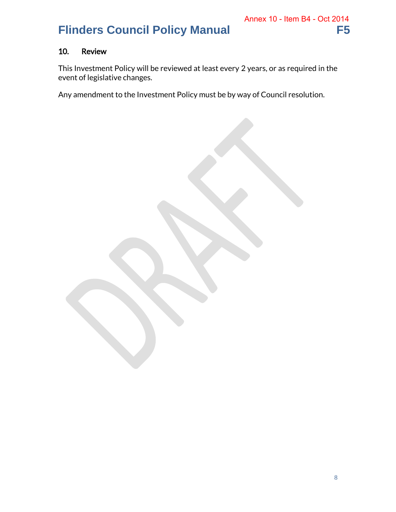# Annex 10 - Item B4 - Oct 2014

### 10. Review

This Investment Policy will be reviewed at least every 2 years, or as required in the event of legislative changes.

Any amendment to the Investment Policy must be by way of Council resolution.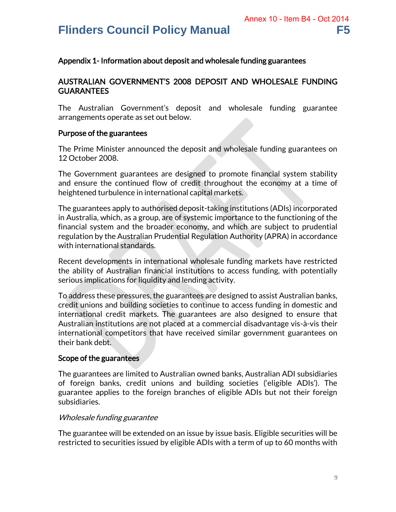### Appendix 1- Information about deposit and wholesale funding guarantees

### AUSTRALIAN GOVERNMENT'S 2008 DEPOSIT AND WHOLESALE FUNDING GUARANTEES

The Australian Government's deposit and wholesale funding guarantee arrangements operate as set out below.

### Purpose of the guarantees

The Prime Minister announced the deposit and wholesale funding guarantees on 12 October 2008.

The Government guarantees are designed to promote financial system stability and ensure the continued flow of credit throughout the economy at a time of heightened turbulence in international capital markets.

The guarantees apply to authorised deposit-taking institutions (ADIs) incorporated in Australia, which, as a group, are of systemic importance to the functioning of the financial system and the broader economy, and which are subject to prudential regulation by the Australian Prudential Regulation Authority (APRA) in accordance with international standards.

Recent developments in international wholesale funding markets have restricted the ability of Australian financial institutions to access funding, with potentially serious implications for liquidity and lending activity.

To address these pressures, the guarantees are designed to assist Australian banks, credit unions and building societies to continue to access funding in domestic and international credit markets. The guarantees are also designed to ensure that Australian institutions are not placed at a commercial disadvantage vis-à-vis their international competitors that have received similar government guarantees on their bank debt.

### Scope of the guarantees

The guarantees are limited to Australian owned banks, Australian ADI subsidiaries of foreign banks, credit unions and building societies ('eligible ADIs'). The guarantee applies to the foreign branches of eligible ADIs but not their foreign subsidiaries.

### Wholesale funding guarantee

The guarantee will be extended on an issue by issue basis. Eligible securities will be restricted to securities issued by eligible ADIs with a term of up to 60 months with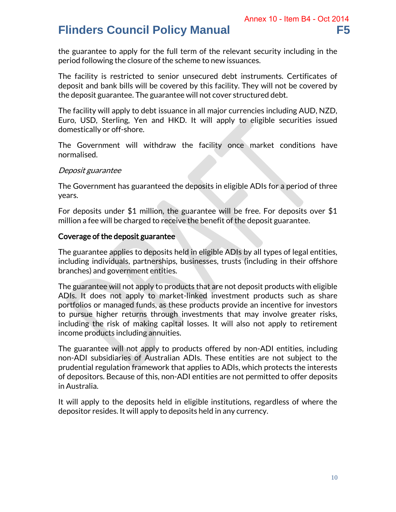the guarantee to apply for the full term of the relevant security including in the period following the closure of the scheme to new issuances.

The facility is restricted to senior unsecured debt instruments. Certificates of deposit and bank bills will be covered by this facility. They will not be covered by the deposit guarantee. The guarantee will not cover structured debt.

The facility will apply to debt issuance in all major currencies including AUD, NZD, Euro, USD, Sterling, Yen and HKD. It will apply to eligible securities issued domestically or off-shore.

The Government will withdraw the facility once market conditions have normalised.

### Deposit guarantee

The Government has guaranteed the deposits in eligible ADIs for a period of three years.

For deposits under \$1 million, the guarantee will be free. For deposits over \$1 million a fee will be charged to receive the benefit of the deposit guarantee.

### Coverage of the deposit guarantee

The guarantee applies to deposits held in eligible ADIs by all types of legal entities, including individuals, partnerships, businesses, trusts (including in their offshore branches) and government entities.

The guarantee will not apply to products that are not deposit products with eligible ADIs. It does not apply to market-linked investment products such as share portfolios or managed funds, as these products provide an incentive for investors to pursue higher returns through investments that may involve greater risks, including the risk of making capital losses. It will also not apply to retirement income products including annuities.

The guarantee will not apply to products offered by non-ADI entities, including non-ADI subsidiaries of Australian ADIs. These entities are not subject to the prudential regulation framework that applies to ADIs, which protects the interests of depositors. Because of this, non-ADI entities are not permitted to offer deposits in Australia.

It will apply to the deposits held in eligible institutions, regardless of where the depositor resides. It will apply to deposits held in any currency.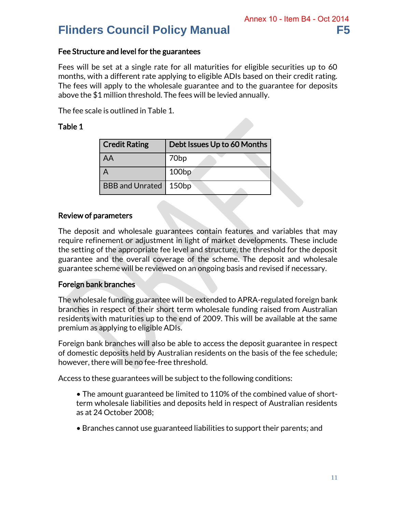### Fee Structure and level for the guarantees

Fees will be set at a single rate for all maturities for eligible securities up to 60 months, with a different rate applying to eligible ADIs based on their credit rating. The fees will apply to the wholesale guarantee and to the guarantee for deposits above the \$1 million threshold. The fees will be levied annually.

The fee scale is outlined in Table 1.

### Table 1

| <b>Credit Rating</b>   | Debt Issues Up to 60 Months |  |
|------------------------|-----------------------------|--|
| AA                     | 70 <sub>bp</sub>            |  |
|                        | 100bp                       |  |
| <b>BBB and Unrated</b> | 150bp                       |  |

### Review of parameters

The deposit and wholesale guarantees contain features and variables that may require refinement or adjustment in light of market developments. These include the setting of the appropriate fee level and structure, the threshold for the deposit guarantee and the overall coverage of the scheme. The deposit and wholesale guarantee scheme will be reviewed on an ongoing basis and revised if necessary.

### Foreign bank branches

The wholesale funding guarantee will be extended to APRA-regulated foreign bank branches in respect of their short term wholesale funding raised from Australian residents with maturities up to the end of 2009. This will be available at the same premium as applying to eligible ADIs.

Foreign bank branches will also be able to access the deposit guarantee in respect of domestic deposits held by Australian residents on the basis of the fee schedule; however, there will be no fee-free threshold.

Access to these guarantees will be subject to the following conditions:

- The amount guaranteed be limited to 110% of the combined value of shortterm wholesale liabilities and deposits held in respect of Australian residents as at 24 October 2008;
- Branches cannot use guaranteed liabilities to support their parents; and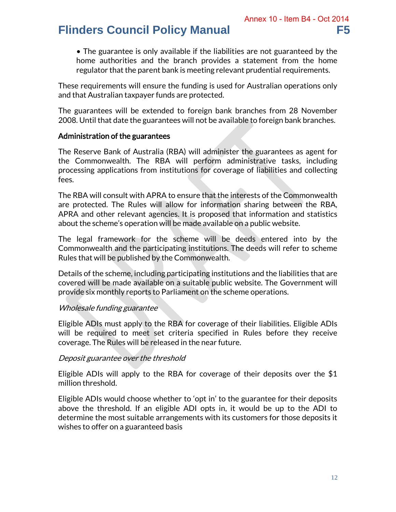• The guarantee is only available if the liabilities are not guaranteed by the home authorities and the branch provides a statement from the home regulator that the parent bank is meeting relevant prudential requirements.

These requirements will ensure the funding is used for Australian operations only and that Australian taxpayer funds are protected.

The guarantees will be extended to foreign bank branches from 28 November 2008. Until that date the guarantees will not be available to foreign bank branches.

### Administration of the guarantees

The Reserve Bank of Australia (RBA) will administer the guarantees as agent for the Commonwealth. The RBA will perform administrative tasks, including processing applications from institutions for coverage of liabilities and collecting fees.

The RBA will consult with APRA to ensure that the interests of the Commonwealth are protected. The Rules will allow for information sharing between the RBA, APRA and other relevant agencies. It is proposed that information and statistics about the scheme's operation will be made available on a public website.

The legal framework for the scheme will be deeds entered into by the Commonwealth and the participating institutions. The deeds will refer to scheme Rules that will be published by the Commonwealth.

Details of the scheme, including participating institutions and the liabilities that are covered will be made available on a suitable public website. The Government will provide six monthly reports to Parliament on the scheme operations.

### Wholesale funding guarantee

Eligible ADIs must apply to the RBA for coverage of their liabilities. Eligible ADIs will be required to meet set criteria specified in Rules before they receive coverage. The Rules will be released in the near future.

### Deposit guarantee over the threshold

Eligible ADIs will apply to the RBA for coverage of their deposits over the \$1 million threshold.

Eligible ADIs would choose whether to 'opt in' to the guarantee for their deposits above the threshold. If an eligible ADI opts in, it would be up to the ADI to determine the most suitable arrangements with its customers for those deposits it wishes to offer on a guaranteed basis